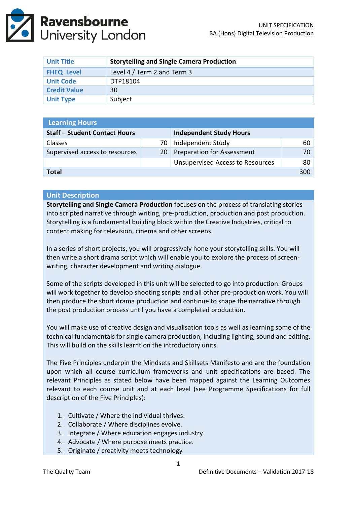| <b>Unit Title</b>   | <b>Storytelling and Single Camera Production</b> |  |  |
|---------------------|--------------------------------------------------|--|--|
| <b>FHEQ Level</b>   | Level 4 / Term 2 and Term 3                      |  |  |
| <b>Unit Code</b>    | DTP18104                                         |  |  |
| <b>Credit Value</b> | 30                                               |  |  |
| <b>Unit Type</b>    | Subject                                          |  |  |

| <b>Learning Hours</b>                |           |                                         |    |  |  |
|--------------------------------------|-----------|-----------------------------------------|----|--|--|
| <b>Staff - Student Contact Hours</b> |           | <b>Independent Study Hours</b>          |    |  |  |
| Classes                              | 70        | Independent Study                       | 60 |  |  |
| Supervised access to resources       | <b>20</b> | <b>Preparation for Assessment</b>       | 70 |  |  |
|                                      |           | <b>Unsupervised Access to Resources</b> | 80 |  |  |
| <b>Total</b>                         |           |                                         |    |  |  |

## **Unit Description**

**Storytelling and Single Camera Production** focuses on the process of translating stories into scripted narrative through writing, pre-production, production and post production. Storytelling is a fundamental building block within the Creative Industries, critical to content making for television, cinema and other screens.

In a series of short projects, you will progressively hone your storytelling skills. You will then write a short drama script which will enable you to explore the process of screenwriting, character development and writing dialogue.

Some of the scripts developed in this unit will be selected to go into production. Groups will work together to develop shooting scripts and all other pre-production work. You will then produce the short drama production and continue to shape the narrative through the post production process until you have a completed production.

You will make use of creative design and visualisation tools as well as learning some of the technical fundamentals for single camera production, including lighting, sound and editing. This will build on the skills learnt on the introductory units.

The Five Principles underpin the Mindsets and Skillsets Manifesto and are the foundation upon which all course curriculum frameworks and unit specifications are based. The relevant Principles as stated below have been mapped against the Learning Outcomes relevant to each course unit and at each level (see Programme Specifications for full description of the Five Principles):

- 1. Cultivate / Where the individual thrives.
- 2. Collaborate / Where disciplines evolve.
- 3. Integrate / Where education engages industry.
- 4. Advocate / Where purpose meets practice.
- 5. Originate / creativity meets technology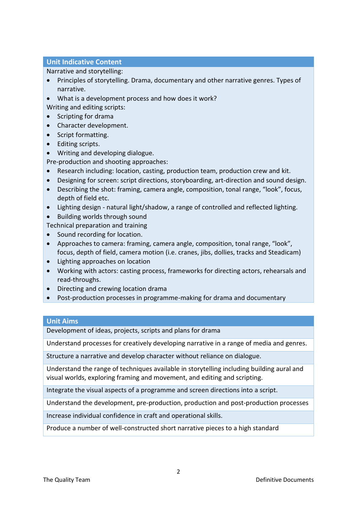# **Unit Indicative Content**

Narrative and storytelling:

- Principles of storytelling. Drama, documentary and other narrative genres. Types of narrative.
- What is a development process and how does it work?

Writing and editing scripts:

- Scripting for drama
- Character development.
- Script formatting.
- Editing scripts.
- Writing and developing dialogue.

Pre-production and shooting approaches:

- Research including: location, casting, production team, production crew and kit.
- Designing for screen: script directions, storyboarding, art-direction and sound design.
- Describing the shot: framing, camera angle, composition, tonal range, "look", focus, depth of field etc.
- Lighting design natural light/shadow, a range of controlled and reflected lighting.
- Building worlds through sound

Technical preparation and training

- Sound recording for location.
- Approaches to camera: framing, camera angle, composition, tonal range, "look", focus, depth of field, camera motion (i.e. cranes, jibs, dollies, tracks and Steadicam)
- Lighting approaches on location
- Working with actors: casting process, frameworks for directing actors, rehearsals and read-throughs.
- Directing and crewing location drama
- Post-production processes in programme-making for drama and documentary

### **Unit Aims**

Development of ideas, projects, scripts and plans for drama

Understand processes for creatively developing narrative in a range of media and genres.

Structure a narrative and develop character without reliance on dialogue.

Understand the range of techniques available in storytelling including building aural and visual worlds, exploring framing and movement, and editing and scripting.

Integrate the visual aspects of a programme and screen directions into a script.

Understand the development, pre-production, production and post-production processes

Increase individual confidence in craft and operational skills.

Produce a number of well-constructed short narrative pieces to a high standard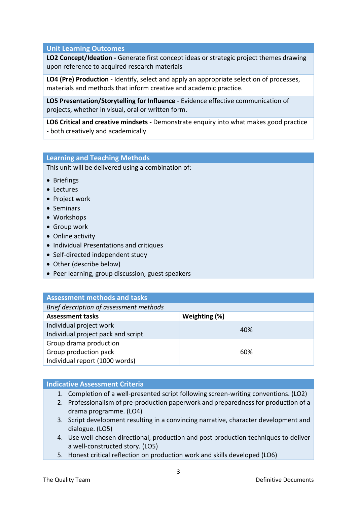# **Unit Learning Outcomes**

**LO2 Concept/Ideation -** Generate first concept ideas or strategic project themes drawing upon reference to acquired research materials

**LO4 (Pre) Production -** Identify, select and apply an appropriate selection of processes, materials and methods that inform creative and academic practice.

**LO5 Presentation/Storytelling for Influence** - Evidence effective communication of projects, whether in visual, oral or written form.

**LO6 Critical and creative mindsets -** Demonstrate enquiry into what makes good practice - both creatively and academically

## **Learning and Teaching Methods**

This unit will be delivered using a combination of:

- Briefings
- **•** Lectures
- Project work
- Seminars
- Workshops
- Group work
- Online activity
- Individual Presentations and critiques
- Self-directed independent study
- Other (describe below)
- Peer learning, group discussion, guest speakers

| <b>Assessment methods and tasks</b>     |               |  |  |
|-----------------------------------------|---------------|--|--|
| Brief description of assessment methods |               |  |  |
| <b>Assessment tasks</b>                 | Weighting (%) |  |  |
| Individual project work                 | 40%           |  |  |
| Individual project pack and script      |               |  |  |
| Group drama production                  |               |  |  |
| Group production pack                   | 60%           |  |  |
| Individual report (1000 words)          |               |  |  |

### **Indicative Assessment Criteria**

- 1. Completion of a well-presented script following screen-writing conventions. (LO2)
- 2. Professionalism of pre-production paperwork and preparedness for production of a drama programme. (LO4)
- 3. Script development resulting in a convincing narrative, character development and dialogue. (LO5)
- 4. Use well-chosen directional, production and post production techniques to deliver a well-constructed story. (LO5)
- 5. Honest critical reflection on production work and skills developed (LO6)